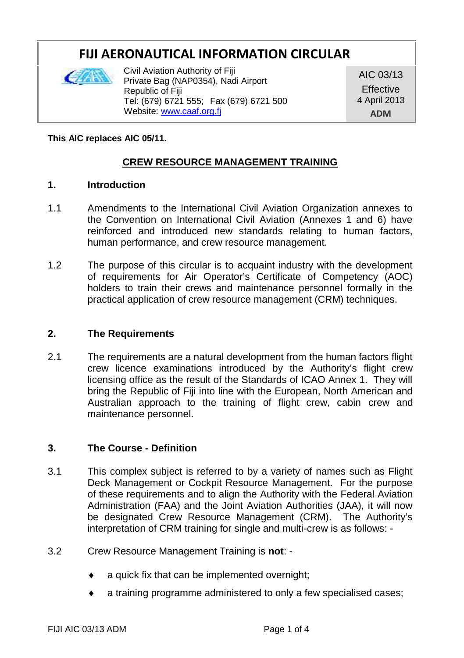# **FIJI AERONAUTICAL INFORMATION CIRCULAR**



Civil Aviation Authority of Fiji Private Bag (NAP0354), Nadi Airport Republic of Fiji Tel: (679) 6721 555; Fax (679) 6721 500 Website: www.caaf.org.fj

AIC 03/13 **Effective** 4 April 2013 **ADM**

### **This AIC replaces AIC 05/11.**

## **CREW RESOURCE MANAGEMENT TRAINING**

### **1. Introduction**

- 1.1 Amendments to the International Civil Aviation Organization annexes to the Convention on International Civil Aviation (Annexes 1 and 6) have reinforced and introduced new standards relating to human factors, human performance, and crew resource management.
- 1.2 The purpose of this circular is to acquaint industry with the development of requirements for Air Operator's Certificate of Competency (AOC) holders to train their crews and maintenance personnel formally in the practical application of crew resource management (CRM) techniques.

### **2. The Requirements**

2.1 The requirements are a natural development from the human factors flight crew licence examinations introduced by the Authority's flight crew licensing office as the result of the Standards of ICAO Annex 1. They will bring the Republic of Fiji into line with the European, North American and Australian approach to the training of flight crew, cabin crew and maintenance personnel.

### **3. The Course - Definition**

- 3.1 This complex subject is referred to by a variety of names such as Flight Deck Management or Cockpit Resource Management. For the purpose of these requirements and to align the Authority with the Federal Aviation Administration (FAA) and the Joint Aviation Authorities (JAA), it will now be designated Crew Resource Management (CRM). The Authority's interpretation of CRM training for single and multi-crew is as follows: -
- 3.2 Crew Resource Management Training is **not**:
	- a quick fix that can be implemented overnight;
	- a training programme administered to only a few specialised cases;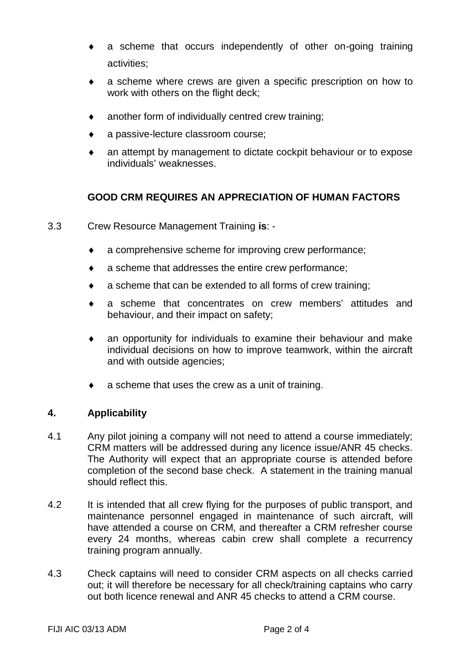- a scheme that occurs independently of other on-going training activities;
- a scheme where crews are given a specific prescription on how to work with others on the flight deck;
- another form of individually centred crew training;
- a passive-lecture classroom course;
- an attempt by management to dictate cockpit behaviour or to expose individuals' weaknesses.

# **GOOD CRM REQUIRES AN APPRECIATION OF HUMAN FACTORS**

- 3.3 Crew Resource Management Training **is**:
	- a comprehensive scheme for improving crew performance;
	- a scheme that addresses the entire crew performance;
	- a scheme that can be extended to all forms of crew training;
	- a scheme that concentrates on crew members' attitudes and behaviour, and their impact on safety;
	- an opportunity for individuals to examine their behaviour and make individual decisions on how to improve teamwork, within the aircraft and with outside agencies;
	- a scheme that uses the crew as a unit of training.

### **4. Applicability**

- 4.1 Any pilot joining a company will not need to attend a course immediately; CRM matters will be addressed during any licence issue/ANR 45 checks. The Authority will expect that an appropriate course is attended before completion of the second base check. A statement in the training manual should reflect this.
- 4.2 It is intended that all crew flying for the purposes of public transport, and maintenance personnel engaged in maintenance of such aircraft, will have attended a course on CRM, and thereafter a CRM refresher course every 24 months, whereas cabin crew shall complete a recurrency training program annually.
- 4.3 Check captains will need to consider CRM aspects on all checks carried out; it will therefore be necessary for all check/training captains who carry out both licence renewal and ANR 45 checks to attend a CRM course.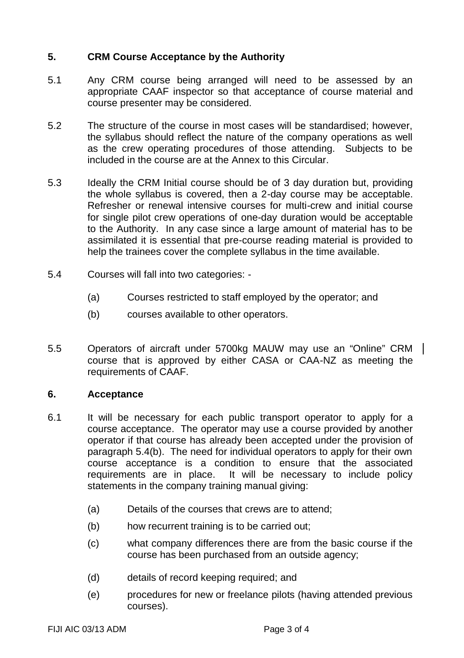# **5. CRM Course Acceptance by the Authority**

- 5.1 Any CRM course being arranged will need to be assessed by an appropriate CAAF inspector so that acceptance of course material and course presenter may be considered.
- 5.2 The structure of the course in most cases will be standardised; however, the syllabus should reflect the nature of the company operations as well as the crew operating procedures of those attending. Subjects to be included in the course are at the Annex to this Circular.
- 5.3 Ideally the CRM Initial course should be of 3 day duration but, providing the whole syllabus is covered, then a 2-day course may be acceptable. Refresher or renewal intensive courses for multi-crew and initial course for single pilot crew operations of one-day duration would be acceptable to the Authority. In any case since a large amount of material has to be assimilated it is essential that pre-course reading material is provided to help the trainees cover the complete syllabus in the time available.
- 5.4 Courses will fall into two categories:
	- (a) Courses restricted to staff employed by the operator; and
	- (b) courses available to other operators.
- 5.5 Operators of aircraft under 5700kg MAUW may use an "Online" CRM course that is approved by either CASA or CAA-NZ as meeting the requirements of CAAF.

## **6. Acceptance**

- 6.1 It will be necessary for each public transport operator to apply for a course acceptance. The operator may use a course provided by another operator if that course has already been accepted under the provision of paragraph 5.4(b). The need for individual operators to apply for their own course acceptance is a condition to ensure that the associated It will be necessary to include policy statements in the company training manual giving:
	- (a) Details of the courses that crews are to attend;
	- (b) how recurrent training is to be carried out;
	- (c) what company differences there are from the basic course if the course has been purchased from an outside agency;
	- (d) details of record keeping required; and
	- (e) procedures for new or freelance pilots (having attended previous courses).